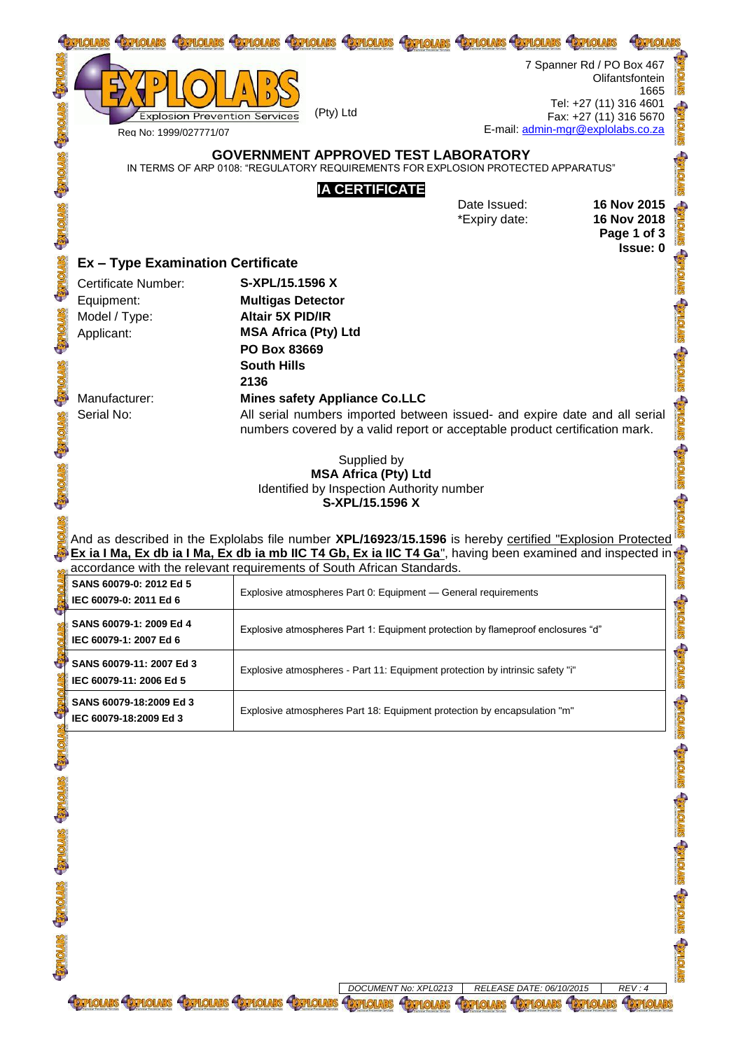|  |                                                                                                                                                                                                                 | <b>HEYPHOLARS</b>                                                                                               | <b>HEXPROLARS</b>     | <b>HISTPHONARS</b> | <b>FIGHLOLARS</b>                 |                                                                               |                                                       |
|--|-----------------------------------------------------------------------------------------------------------------------------------------------------------------------------------------------------------------|-----------------------------------------------------------------------------------------------------------------|-----------------------|--------------------|-----------------------------------|-------------------------------------------------------------------------------|-------------------------------------------------------|
|  |                                                                                                                                                                                                                 | (Pty) Ltd<br><b>Explosion Prevention Services</b>                                                               |                       |                    | E-mail: admin-mgr@explolabs.co.za | 7 Spanner Rd / PO Box 467<br>Tel: +27 (11) 316 4601<br>Fax: +27 (11) 316 5670 | Olifantsfontein<br>1665                               |
|  | Reg No: 1999/027771/07                                                                                                                                                                                          |                                                                                                                 |                       |                    |                                   |                                                                               |                                                       |
|  | <b>GOVERNMENT APPROVED TEST LABORATORY</b><br>IN TERMS OF ARP 0108: "REGULATORY REQUIREMENTS FOR EXPLOSION PROTECTED APPARATUS"                                                                                 |                                                                                                                 |                       |                    |                                   |                                                                               |                                                       |
|  |                                                                                                                                                                                                                 |                                                                                                                 | <b>IA CERTIFICATE</b> |                    | Date Issued:<br>*Expiry date:     |                                                                               | 16 Nov 2015<br>16 Nov 2018<br>Page 1 of 3<br>Issue: 0 |
|  |                                                                                                                                                                                                                 | <b>Ex - Type Examination Certificate</b>                                                                        |                       |                    |                                   |                                                                               |                                                       |
|  | <b>Certificate Number:</b>                                                                                                                                                                                      | S-XPL/15.1596 X                                                                                                 |                       |                    |                                   |                                                                               |                                                       |
|  | Equipment:                                                                                                                                                                                                      | <b>Multigas Detector</b>                                                                                        |                       |                    |                                   |                                                                               |                                                       |
|  | Model / Type:                                                                                                                                                                                                   | <b>Altair 5X PID/IR</b>                                                                                         |                       |                    |                                   |                                                                               |                                                       |
|  | Applicant:                                                                                                                                                                                                      | <b>MSA Africa (Pty) Ltd</b>                                                                                     |                       |                    |                                   |                                                                               |                                                       |
|  |                                                                                                                                                                                                                 | PO Box 83669                                                                                                    |                       |                    |                                   |                                                                               |                                                       |
|  |                                                                                                                                                                                                                 | <b>South Hills</b><br>2136                                                                                      |                       |                    |                                   |                                                                               |                                                       |
|  | Manufacturer:                                                                                                                                                                                                   |                                                                                                                 |                       |                    |                                   |                                                                               |                                                       |
|  | <b>Mines safety Appliance Co.LLC</b><br>Serial No:<br>All serial numbers imported between issued- and expire date and all serial<br>numbers covered by a valid report or acceptable product certification mark. |                                                                                                                 |                       |                    |                                   |                                                                               |                                                       |
|  |                                                                                                                                                                                                                 |                                                                                                                 |                       |                    |                                   |                                                                               |                                                       |
|  |                                                                                                                                                                                                                 |                                                                                                                 | Supplied by           |                    |                                   |                                                                               |                                                       |
|  | <b>MSA Africa (Pty) Ltd</b><br>Identified by Inspection Authority number                                                                                                                                        |                                                                                                                 |                       |                    |                                   |                                                                               |                                                       |
|  |                                                                                                                                                                                                                 |                                                                                                                 | S-XPL/15.1596 X       |                    |                                   |                                                                               |                                                       |
|  |                                                                                                                                                                                                                 |                                                                                                                 |                       |                    |                                   |                                                                               |                                                       |
|  |                                                                                                                                                                                                                 | And as described in the Explolabs file number <b>XPL/16923/15.1596</b> is hereby certified "Explosion Protected |                       |                    |                                   |                                                                               |                                                       |

And as described in the Explolabs file number **XPL/16923**/**15.1596** is hereby certified "Explosion Protected **Ex ia I Ma, Ex db ia I Ma, Ex db ia mb IIC T4 Gb, Ex ia IIC T4 Ga**", having been examined and inspected in accordance with the relevant requirements of South African Standards.

|                | accordance with the relevant requirements or South Amcan Standards. |                                                                                 |                   |  |
|----------------|---------------------------------------------------------------------|---------------------------------------------------------------------------------|-------------------|--|
| G              | SANS 60079-0: 2012 Ed 5<br>IEC 60079-0: 2011 Ed 6                   | Explosive atmospheres Part 0: Equipment - General requirements                  | <b>Salving</b>    |  |
|                | SANS 60079-1: 2009 Ed 4<br>IEC 60079-1: 2007 Ed 6                   | Explosive atmospheres Part 1: Equipment protection by flameproof enclosures "d" | <b>SENTOTISE</b>  |  |
| G              | SANS 60079-11: 2007 Ed 3<br>IEC 60079-11: 2006 Ed 5                 | Explosive atmospheres - Part 11: Equipment protection by intrinsic safety "i"   | <b>SIMONAR</b>    |  |
| G              | SANS 60079-18:2009 Ed 3<br>IEC 60079-18:2009 Ed 3                   | Explosive atmospheres Part 18: Equipment protection by encapsulation "m"        | <b>SHONAR</b>     |  |
| <b>Carlot</b>  |                                                                     |                                                                                 | <b>STVIONA'S</b>  |  |
| <b>ENDING</b>  |                                                                     |                                                                                 | <b>SENTOTERE</b>  |  |
| <b>STORE</b>   |                                                                     |                                                                                 | <b>Stylone's</b>  |  |
| <b>EXHOTES</b> |                                                                     |                                                                                 | <b>SENTIONARY</b> |  |
| <b>ENDING</b>  |                                                                     |                                                                                 | <b>MOTHS:</b>     |  |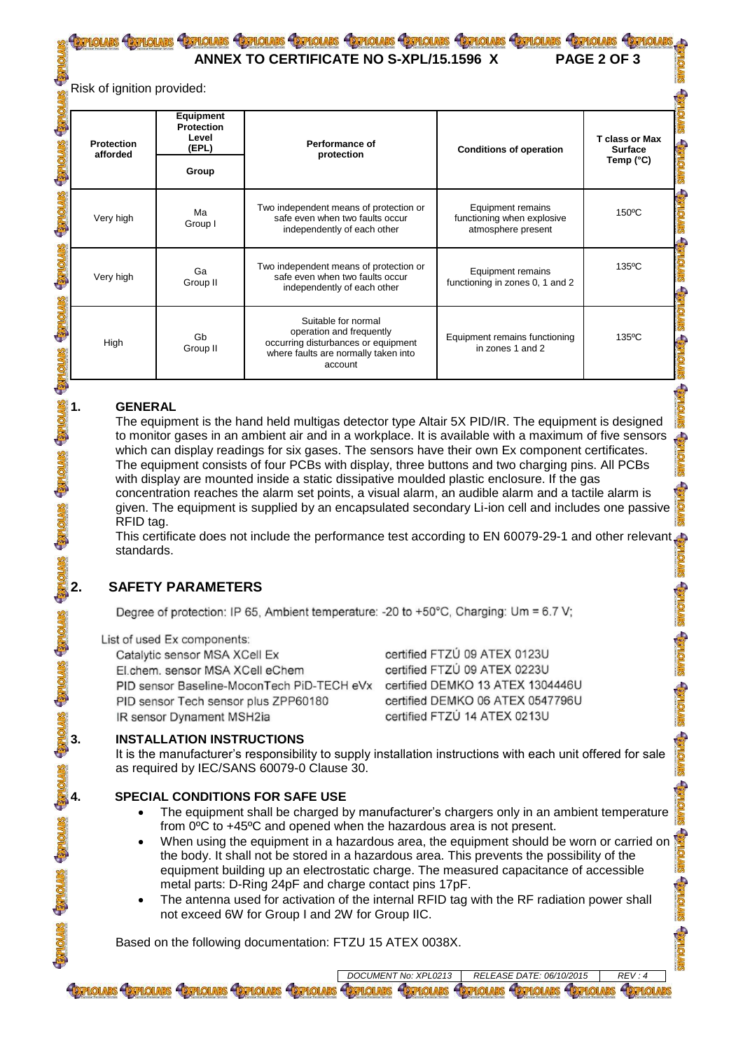# <u>pholars Crpholars Crpholars Crpholars Crpholars Crpholars Crpholars Crpholars Crpholars Crpholars</u>

 **ANNEX TO CERTIFICATE NO S-XPL/15.1596 X PAGE 2 OF 3**

Risk of ignition provided:

| <b>Protection</b><br>afforded | Equipment<br><b>Protection</b><br>Level<br>(EPL) | Performance of<br>protection                                                                                                              | <b>Conditions of operation</b>                                        | <b>T</b> class or Max<br><b>Surface</b><br>Temp $(^{\circ}C)$ |  |
|-------------------------------|--------------------------------------------------|-------------------------------------------------------------------------------------------------------------------------------------------|-----------------------------------------------------------------------|---------------------------------------------------------------|--|
|                               | Group                                            |                                                                                                                                           |                                                                       |                                                               |  |
| Very high                     | Ма<br>Group I                                    | Two independent means of protection or<br>safe even when two faults occur<br>independently of each other                                  | Equipment remains<br>functioning when explosive<br>atmosphere present | $150^{\circ}$ C                                               |  |
| Very high                     | Ga<br>Group II                                   | Two independent means of protection or<br>safe even when two faults occur<br>independently of each other                                  | Equipment remains<br>functioning in zones 0, 1 and 2                  | $135^{\circ}$ C                                               |  |
| High                          | Gb<br>Group II                                   | Suitable for normal<br>operation and frequently<br>occurring disturbances or equipment<br>where faults are normally taken into<br>account | Equipment remains functioning<br>in zones 1 and 2                     | $135^{\circ}$ C                                               |  |

## **1. GENERAL**

The equipment is the hand held multigas detector type Altair 5X PID/IR. The equipment is designed to monitor gases in an ambient air and in a workplace. It is available with a maximum of five sensors which can display readings for six gases. The sensors have their own Ex component certificates. The equipment consists of four PCBs with display, three buttons and two charging pins. All PCBs with display are mounted inside a static dissipative moulded plastic enclosure. If the gas concentration reaches the alarm set points, a visual alarm, an audible alarm and a tactile alarm is given. The equipment is supplied by an encapsulated secondary Li-ion cell and includes one passive RFID tag.

This certificate does not include the performance test according to EN 60079-29-1 and other relevant standards.

# **2. SAFETY PARAMETERS**

Degree of protection: IP 65, Ambient temperature: -20 to +50°C, Charging: Um = 6.7 V;

## List of used Ex components:

Catalytic sensor MSA XCell Ex El.chem. sensor MSA XCell eChem PID sensor Baseline-MoconTech PiD-TECH eVx PID sensor Tech sensor plus ZPP60180 IR sensor Dynament MSH2ia

certified FTZÚ 09 ATEX 0123U certified FTZÚ 09 ATEX 0223U certified DEMKO 13 ATEX 1304446U certified DEMKO 06 ATEX 0547796U certified FTZÚ 14 ATEX 0213U

**EXPLOLARS** 

# **3. INSTALLATION INSTRUCTIONS**

It is the manufacturer's responsibility to supply installation instructions with each unit offered for sale as required by IEC/SANS 60079-0 Clause 30.

# **4. SPECIAL CONDITIONS FOR SAFE USE**

- The equipment shall be charged by manufacturer's chargers only in an ambient temperature from 0ºC to +45ºC and opened when the hazardous area is not present.
- When using the equipment in a hazardous area, the equipment should be worn or carried on the body. It shall not be stored in a hazardous area. This prevents the possibility of the equipment building up an electrostatic charge. The measured capacitance of accessible metal parts: D-Ring 24pF and charge contact pins 17pF.
- The antenna used for activation of the internal RFID tag with the RF radiation power shall not exceed 6W for Group I and 2W for Group IIC.

Based on the following documentation: FTZU 15 ATEX 0038X.

*DOCUMENT No: XPL0213* **RELEASE DATE: 06/10/2015 GEFIOLARS GEFIOLARS GEFIOLARS GEFIOLARS GEFIOLARS EXPLOLARS**